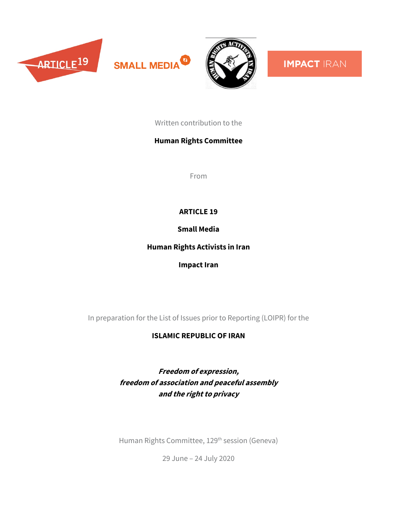





**IMPACT IRAN** 

Written contribution to the

## **Human Rights Committee**

From

## **ARTICLE 19**

**Small Media**

**Human Rights Activists in Iran**

**Impact Iran**

In preparation for the List of Issues prior to Reporting (LOIPR) for the

# **ISLAMIC REPUBLIC OF IRAN**

**Freedom of expression, freedom of association and peaceful assembly and the right to privacy**

Human Rights Committee, 129<sup>th</sup> session (Geneva)

29 June – 24 July 2020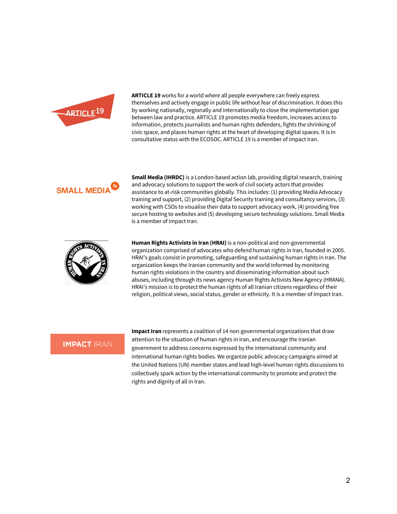

**ARTICLE 19** works for a world where all people everywhere can freely express themselves and actively engage in public life without fear of discrimination. It does this by working nationally, regionally and internationally to close the implementation gap between law and practice. ARTICLE 19 promotes media freedom, increases access to information, protects journalists and human rights defenders, fights the shrinking of civic space, and places human rights at the heart of developing digital spaces. It is in consultative status with the ECOSOC. ARTICLE 19 is a member of Impact Iran.



**Small Media (IHRDC)** is a London-based action lab, providing digital research, training and advocacy solutions to support the work of civil society actors that provides assistance to at-risk communities globally. This includes: (1) providing Media Advocacy training and support, (2) providing Digital Security training and consultancy services, (3) working with CSOs to visualise their data to support advocacy work, (4) providing free secure hosting to websites and (5) developing secure technology solutions. Small Media is a member of Impact Iran.



**Human Rights Activists in Iran (HRAI)** is a non-political and non-governmental organization comprised of advocates who defend human rights in Iran, founded in 2005. HRAI's goals consist in promoting, safeguarding and sustaining human rights in Iran. The organization keeps the Iranian community and the world informed by monitoring human rights violations in the country and disseminating information about such abuses, including through its news agency Human Rights Activists New Agency (HRANA). HRAI's mission is to protect the human rights of all Iranian citizens regardless of their religion, political views, social status, gender or ethnicity. It is a member of Impact Iran.

### **IMPACT IRAN**

**Impact Iran** represents a coalition of 14 non-governmental organizations that draw attention to the situation of human rights in Iran, and encourage the Iranian government to address concerns expressed by the international community and international human rights bodies. We organize public advocacy campaigns aimed at the United Nations (UN) member states and lead high-level human rights discussions to collectively spark action by the international community to promote and protect the rights and dignity of all in Iran.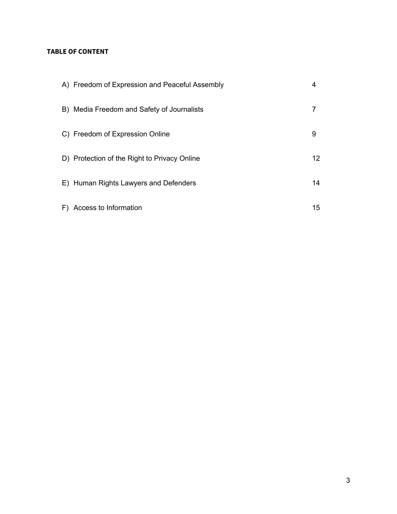## **TABLE OF CONTENT**

| A) Freedom of Expression and Peaceful Assembly | 4               |
|------------------------------------------------|-----------------|
| B) Media Freedom and Safety of Journalists     |                 |
| C) Freedom of Expression Online                | 9               |
| D) Protection of the Right to Privacy Online   | 12 <sup>2</sup> |
| E) Human Rights Lawyers and Defenders          | 14              |
| F) Access to Information                       | 15              |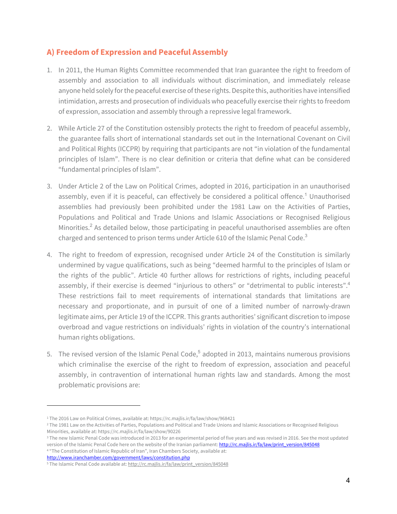# **A) Freedom of Expression and Peaceful Assembly**

- 1. In 2011, the Human Rights Committee recommended that Iran guarantee the right to freedom of assembly and association to all individuals without discrimination, and immediately release anyone held solely for the peaceful exercise of these rights. Despite this, authorities have intensified intimidation, arrests and prosecution of individuals who peacefully exercise their rights to freedom of expression, association and assembly through a repressive legal framework.
- 2. While Article 27 of the Constitution ostensibly protects the right to freedom of peaceful assembly, the guarantee falls short of international standards set out in the International Covenant on Civil and Political Rights (ICCPR) by requiring that participants are not "in violation of the fundamental principles of Islam". There is no clear definition or criteria that define what can be considered "fundamental principles of Islam".
- 3. Under Article 2 of the Law on Political Crimes, adopted in 2016, participation in an unauthorised assembly, even if it is peaceful, can effectively be considered a political offence.<sup>1</sup> Unauthorised assemblies had previously been prohibited under the 1981 Law on the Activities of Parties, Populations and Political and Trade Unions and Islamic Associations or Recognised Religious Minorities.<sup>2</sup> As detailed below, those participating in peaceful unauthorised assemblies are often charged and sentenced to prison terms under Article 610 of the Islamic Penal Code.<sup>3</sup>
- 4. The right to freedom of expression, recognised under Article 24 of the Constitution is similarly undermined by vague qualifications, such as being "deemed harmful to the principles of Islam or the rights of the public". Article 40 further allows for restrictions of rights, including peaceful assembly, if their exercise is deemed "injurious to others" or "detrimental to public interests".<sup>4</sup> These restrictions fail to meet requirements of international standards that limitations are necessary and proportionate, and in pursuit of one of a limited number of narrowly-drawn legitimate aims, per Article 19 of the ICCPR. This grants authorities' significant discretion to impose overbroad and vague restrictions on individuals' rights in violation of the country's international human rights obligations.
- 5. The revised version of the Islamic Penal Code,<sup>5</sup> adopted in 2013, maintains numerous provisions which criminalise the exercise of the right to freedom of expression, association and peaceful assembly, in contravention of international human rights law and standards. Among the most problematic provisions are:

http://www.iranchamber.com/government/laws/constitution.php

<sup>1</sup> The 2016 Law on Political Crimes, available at: https://rc.majlis.ir/fa/law/show/968421

<sup>&</sup>lt;sup>2</sup> The 1981 Law on the Activities of Parties, Populations and Political and Trade Unions and Islamic Associations or Recognised Religious Minorities, available at: https://rc.majlis.ir/fa/law/show/90226

<sup>&</sup>lt;sup>3</sup> The new Islamic Penal Code was introduced in 2013 for an experimental period of five years and was revised in 2016. See the most updated version of the Islamic Penal Code here on the website of the Iranian parliament: http://rc.majlis.ir/fa/law/print\_version/845048 <sup>4</sup> "The Constitution of Islamic Republic of Iran", Iran Chambers Society, available at:

<sup>&</sup>lt;sup>5</sup> The Islamic Penal Code available at: http://rc.majlis.ir/fa/law/print\_version/845048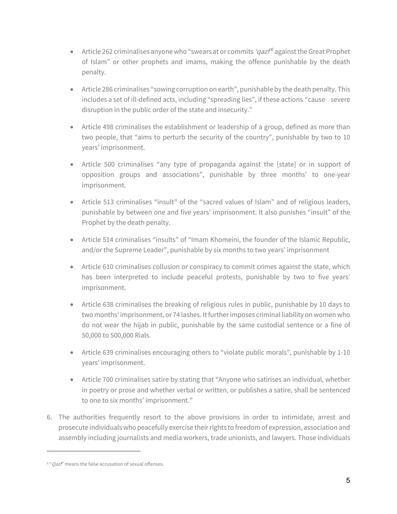- Article 262 criminalises anyone who "swears at or commits 'gazf<sup>6</sup> against the Great Prophet of Islam" or other prophets and imams, making the offence punishable by the death penalty.
- Article 286 criminalises "sowing corruption on earth", punishable by the death penalty. This includes a set of ill-defined acts, including "spreading lies", if these actions "cause severe disruption in the public order of the state and insecurity."
- Article 498 criminalises the establishment or leadership of a group, defined as more than two people, that "aims to perturb the security of the country", punishable by two to 10 years' imprisonment.
- Article 500 criminalises "any type of propaganda against the [state] or in support of opposition groups and associations", punishable by three months' to one-year imprisonment.
- Article 513 criminalises "insult" of the "sacred values of Islam" and of religious leaders, punishable by between one and five years' imprisonment. It also punishes "insult" of the Prophet by the death penalty.
- Article 514 criminalises "insults" of "Imam Khomeini, the founder of the Islamic Republic, and/or the Supreme Leader", punishable by six months to two years' imprisonment
- Article 610 criminalises collusion or conspiracy to commit crimes against the state, which has been interpreted to include peaceful protests, punishable by two to five years' imprisonment.
- Article 638 criminalises the breaking of religious rules in public, punishable by 10 days to two months' imprisonment, or 74 lashes. It further imposes criminal liability on women who do not wear the hijab in public, punishable by the same custodial sentence or a fine of 50,000 to 500,000 Rials.
- Article 639 criminalises encouraging others to "violate public morals", punishable by 1-10 years' imprisonment.
- Article 700 criminalises satire by stating that "Anyone who satirises an individual, whether in poetry or prose and whether verbal or written, or publishes a satire, shall be sentenced to one to six months' imprisonment."
- 6. The authorities frequently resort to the above provisions in order to intimidate, arrest and prosecute individuals who peacefully exercise their rights to freedom of expression, association and assembly including journalists and media workers, trade unionists, and lawyers. Those individuals

 $6$  " Qaz $f$ " means the false accusation of sexual offenses.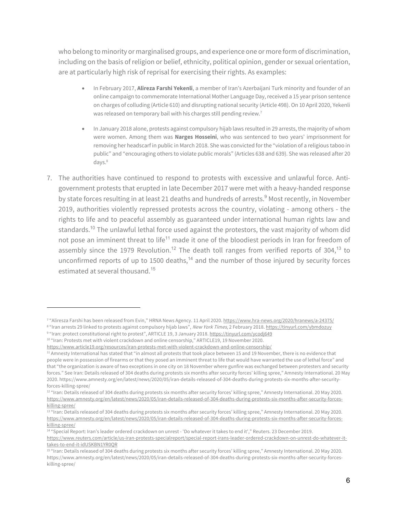who belong to minority or marginalised groups, and experience one or more form of discrimination, including on the basis of religion or belief, ethnicity, political opinion, gender or sexual orientation, are at particularly high risk of reprisal for exercising their rights. As examples:

- In February 2017, **Alireza Farshi Yekenli**, a member of Iran's Azerbaijani Turk minority and founder of an online campaign to commemorate International Mother Language Day, received a 15 year prison sentence on charges of colluding (Article 610) and disrupting national security (Article 498). On 10 April 2020, Yekenli was released on temporary bail with his charges still pending review.<sup>7</sup>
- In January 2018 alone, protests against compulsory hijab laws resulted in 29 arrests, the majority of whom were women. Among them was **Narges Hosseini**, who was sentenced to two years' imprisonment for removing her headscarf in public in March 2018. She was convicted for the "violation of a religious taboo in public" and "encouraging others to violate public morals" (Articles 638 and 639). She was released after 20 days.<sup>8</sup>
- 7. The authorities have continued to respond to protests with excessive and unlawful force. Antigovernment protests that erupted in late December 2017 were met with a heavy-handed response by state forces resulting in at least 21 deaths and hundreds of arrests.<sup>9</sup> Most recently, in November 2019, authorities violently repressed protests across the country, violating - among others - the rights to life and to peaceful assembly as guaranteed under international human rights law and standards.<sup>10</sup> The unlawful lethal force used against the protestors, the vast majority of whom did not pose an imminent threat to life<sup>11</sup> made it one of the bloodiest periods in Iran for freedom of assembly since the 1979 Revolution.<sup>12</sup> The death toll ranges from verified reports of 304,<sup>13</sup> to unconfirmed reports of up to 1500 deaths,<sup>14</sup> and the number of those injured by security forces estimated at several thousand. 15

10 "Iran: Protests met with violent crackdown and online censorship," ARTICLE19, 19 November 2020.

<sup>14</sup> "Special Report: Iran's leader ordered crackdown on unrest - 'Do whatever it takes to end it'," Reuters. 23 December 2019.

<sup>7</sup> "Aliresza Farshi has been released from Evin," HRNA News Agency. 11 April 2020. https://www.hra-news.org/2020/hranews/a-24375/

<sup>&</sup>lt;sup>8</sup> "Iran arrests 29 linked to protests against compulsory hijab laws", New York Times, 2 February 2018. https://tinyurl.com/ybmdozuy 9 "Iran: protect constitutional right to protest", ARTICLE 19, 3 January 2018. https://tinyurl.com/ycodj649

https://www.article19.org/resources/iran-protests-met-with-violent-crackdown-and-online-censorship/

<sup>11</sup> Amnesty International has stated that "in almost all protests that took place between 15 and 19 November, there is no evidence that people were in possession of firearms or that they posed an imminent threat to life that would have warranted the use of lethal force" and that "the organization is aware of two exceptions in one city on 18 November where gunfire was exchanged between protesters and security forces." See Iran: Details released of 304 deaths during protests six months after security forces' killing spree," Amnesty International. 20 May 2020. https://www.amnesty.org/en/latest/news/2020/05/iran-details-released-of-304-deaths-during-protests-six-months-after-securityforces-killing-spree/

<sup>&</sup>lt;sup>12 "</sup>Iran: Details released of 304 deaths during protests six months after security forces' killing spree," Amnesty International. 20 May 2020. https://www.amnesty.org/en/latest/news/2020/05/iran-details-released-of-304-deaths-during-protests-six-months-after-security-forceskilling-spree/

<sup>13 &</sup>quot;Iran: Details released of 304 deaths during protests six months after security forces' killing spree," Amnesty International. 20 May 2020. https://www.amnesty.org/en/latest/news/2020/05/iran-details-released-of-304-deaths-during-protests-six-months-after-security-forceskilling-spree/

https://www.reuters.com/article/us-iran-protests-specialreport/special-report-irans-leader-ordered-crackdown-on-unrest-do-whatever-ittakes-to-end-it-idUSKBN1YR0QR

<sup>15 &</sup>quot;Iran: Details released of 304 deaths during protests six months after security forces' killing spree," Amnesty International. 20 May 2020. https://www.amnesty.org/en/latest/news/2020/05/iran-details-released-of-304-deaths-during-protests-six-months-after-security-forceskilling-spree/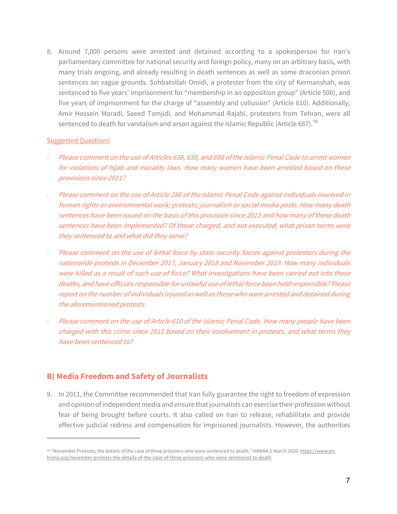8. Around 7,000 persons were arrested and detained according to a spokesperson for Iran's parliamentary committee for national security and foreign policy, many on an arbitrary basis, with many trials ongoing, and already resulting in death sentences as well as some draconian prison sentences on vague grounds. Sohbatollah Omidi, a protester from the city of Kermanshah, was sentenced to five years' imprisonment for "membership in an opposition group" (Article 500), and five years of imprisonment for the charge of "assembly and collusion" (Article 610). Additionally, Amir Hossein Moradi, Saeed Tamjidi, and Mohammad Rajabi, protesters from Tehran, were all sentenced to death for vandalism and arson against the Islamic Republic (Article 687).<sup>16</sup>

#### Suggested Questions

- Please comment on the use of Articles 638, 639, and 698 of the Islamic Penal Code to arrest women for violations of hijab and morality laws. How many women have been arrested based on these provisions since 2011?
- Please comment on the use of Article 286 of the Islamic Penal Code against individuals involved in human rights or environmental work; protests; journalism or social media posts. How many death sentences have been issued on the basis of this provision since 2013 and how many of these death sentences have been implemented? Of those charged, and not executed, what prison terms were they sentenced to and what did they serve?
- Please comment on the use of lethal force by state security forces against protestors during the nationwide protests in December 2017, January 2018 and November 2019. How many individuals were killed as a result of such use of force? What investigations have been carried out into these deaths, and have officials responsible for unlawful use of lethal force been held responsible? Please report on the number of individuals injured as well as those who were arrested and detained during the aforementioned protests.
- Please comment on the use of Article 610 of the Islamic Penal Code. How many people have been charged with this crime since 2011 based on their involvement in protests, and what terms they have been sentenced to?

## **B) Media Freedom and Safety of Journalists**

9. In 2011, the Committee recommended that Iran fully guarantee the right to freedom of expression and opinion of independent media and ensure that journalists can exercise their profession without fear of being brought before courts. It also called on Iran to release, rehabilitate and provide effective judicial redress and compensation for imprisoned journalists. However, the authorities

<sup>16 &</sup>quot;November Protests; the details of the case of three prisoners who were sentenced to death," HRANA.5 March 2020. https://www.enhrana.org/november-protests-the-details-of-the-case-of-three-prisoners-who-were-sentenced-to-death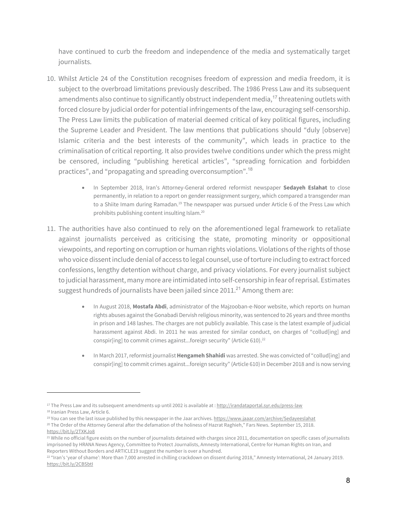have continued to curb the freedom and independence of the media and systematically target journalists.

- 10. Whilst Article 24 of the Constitution recognises freedom of expression and media freedom, it is subject to the overbroad limitations previously described. The 1986 Press Law and its subsequent amendments also continue to significantly obstruct independent media,<sup>17</sup> threatening outlets with forced closure by judicial order for potential infringements of the law, encouraging self-censorship. The Press Law limits the publication of material deemed critical of key political figures, including the Supreme Leader and President. The law mentions that publications should "duly [observe] Islamic criteria and the best interests of the community", which leads in practice to the criminalisation of critical reporting. It also provides twelve conditions under which the press might be censored, including "publishing heretical articles", "spreading fornication and forbidden practices", and "propagating and spreading overconsumption".<sup>18</sup>
	- In September 2018, Iran's Attorney-General ordered reformist newspaper **Sedayeh Eslahat** to close permanently, in relation to a report on gender reassignment surgery, which compared a transgender man to a Shiite Imam during Ramadan.<sup>19</sup> The newspaper was pursued under Article 6 of the Press Law which prohibits publishing content insulting Islam. 20
- 11. The authorities have also continued to rely on the aforementioned legal framework to retaliate against journalists perceived as criticising the state, promoting minority or oppositional viewpoints, and reporting on corruption or human rights violations. Violations of the rights of those who voice dissent include denial of access to legal counsel, use of torture including to extract forced confessions, lengthy detention without charge, and privacy violations. For every journalist subject to judicial harassment, many more are intimidated into self-censorship in fear of reprisal. Estimates suggest hundreds of journalists have been jailed since 2011.<sup>21</sup> Among them are:
	- In August 2018, **Mostafa Abdi**, administrator of the Majzooban-e-Noor website, which reports on human rights abuses against the Gonabadi Dervish religious minority, was sentenced to 26 years and three months in prison and 148 lashes. The charges are not publicly available. This case is the latest example of judicial harassment against Abdi. In 2011 he was arrested for similar conduct, on charges of "collud[ing] and conspir[ing] to commit crimes against...foreign security" (Article 610).<sup>22</sup>
	- In March 2017, reformist journalist **Hengameh Shahidi** was arrested. She was convicted of "collud[ing] and conspir[ing] to commit crimes against...foreign security" (Article 610) in December 2018 and is now serving

<sup>&</sup>lt;sup>17</sup> The Press Law and its subsequent amendments up until 2002 is available at : http://irandataportal.syr.edu/press-law <sup>18</sup> Iranian Press Law, Article 6.

<sup>&</sup>lt;sup>19</sup> You can see the last issue published by this newspaper in the Jaar archives. https://www.jaaar.com/archive/Sedayeeslahat <sup>20</sup> The Order of the Attorney General after the defamation of the holiness of Hazrat Raghieh," Fars News. September 15, 2018. https://bit.ly/2TXKJo8

<sup>&</sup>lt;sup>21</sup> While no official figure exists on the number of journalists detained with charges since 2011, documentation on specific cases of journalists imprisoned by HRANA News Agency, Committee to Protect Journalists, Amnesty International, Centre for Human Rights on Iran, and Reporters Without Borders and ARTICLE19 suggest the number is over a hundred.

<sup>&</sup>lt;sup>22 "</sup>Iran's 'year of shame': More than 7,000 arrested in chilling crackdown on dissent during 2018," Amnesty International, 24 January 2019. https://bit.ly/2CBSbtI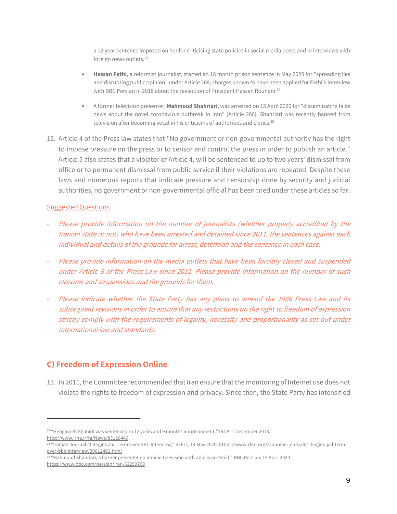a 12 year sentence imposed on her for criticising state policies in social media posts and in interviews with foreign news outlets. 23

- **Hassan Fathi**, a reformist journalist, started an 18 month prison sentence in May 2020 for "spreading lies and disrupting public opinion" under Article 268, charges known to have been applied for Fathi's interview with BBC Persian in 2018 about the reelection of President Hassan Rouhani.<sup>24</sup>
- A former television presenter, **Mahmoud Shahriari**, was arrested on 15 April 2020 for "disseminating false news about the novel coronavirus outbreak in Iran" (Article 286). Shahriari was recently banned from television after becoming vocal in his criticisms of authorities and clerics.<sup>25</sup>
- 12. Article 4 of the Press law states that "No government or non-governmental authority has the right to impose pressure on the press or to censor and control the press in order to publish an article." Article 5 also states that a violator of Article 4, will be sentenced to up to two years' dismissal from office or to permanent dismissal from public service if their violations are repeated. Despite these laws and numerous reports that indicate pressure and censorship done by security and judicial authorities, no government or non-governmental official has been tried under these articles so far.

### Suggested Questions

- Please provide information on the number of journalists (whether properly accredited by the Iranian state or not) who have been arrested and detained since 2011, the sentences against each individual and details of the grounds for arrest, detention and the sentence in each case.
- Please provide information on the media outlets that have been forcibly closed and suspended under Article 6 of the Press Law since 2011. Please provide information on the number of such closures and suspensions and the grounds for them.
- Please indicate whether the State Party has any plans to amend the 1986 Press Law and its subsequent revisions in order to ensure that any restrictions on the right to freedom of expression strictly comply with the requirements of legality, necessity and proportionality as set out under international law and standards.

## **C) Freedom of Expression Online**

13. In 2011, the Committee recommended that Iran ensure that the monitoring of Internet use does not violate the rights to freedom of expression and privacy. Since then, the State Party has intensified

<sup>&</sup>lt;sup>23</sup> "Hengameh Shahidi was sentenced to 12 years and 9 months imprisonment," IRNA. 1 December 2018. http://www.irna.ir/fa/News/83118449

<sup>&</sup>lt;sup>24 "</sup>Iranian Journalist Begins Jail Term Over BBC Interview," RFE/L, 14 May 2020. https://www.rferl.org/a/iranian-journalist-begins-jail-termover-bbc-interview/30612491.html

<sup>25</sup> "Mahmoud Shahriari, a former presenter on Iranian television and radio is arrested," BBC Persian, 15 April 2020. https://www.bbc.com/persian/iran-52299769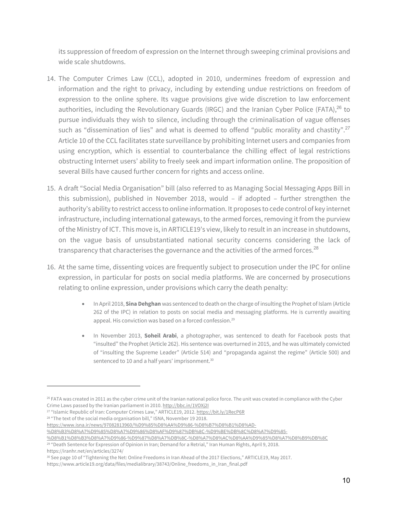its suppression of freedom of expression on the Internet through sweeping criminal provisions and wide scale shutdowns.

- 14. The Computer Crimes Law (CCL), adopted in 2010, undermines freedom of expression and information and the right to privacy, including by extending undue restrictions on freedom of expression to the online sphere. Its vague provisions give wide discretion to law enforcement authorities, including the Revolutionary Guards (IRGC) and the Iranian Cyber Police (FATA),<sup>26</sup> to pursue individuals they wish to silence, including through the criminalisation of vague offenses such as "dissemination of lies" and what is deemed to offend "public morality and chastity".<sup>27</sup> Article 10 of the CCL facilitates state surveillance by prohibiting Internet users and companies from using encryption, which is essential to counterbalance the chilling effect of legal restrictions obstructing Internet users' ability to freely seek and impart information online. The proposition of several Bills have caused further concern for rights and access online.
- 15. A draft "Social Media Organisation" bill (also referred to as Managing Social Messaging Apps Bill in this submission), published in November 2018, would – if adopted – further strengthen the authority's ability to restrict access to online information. It proposes to cede control of key internet infrastructure, including international gateways, to the armed forces, removing it from the purview of the Ministry of ICT. This move is, in ARTICLE19's view, likely to result in an increase in shutdowns, on the vague basis of unsubstantiated national security concerns considering the lack of transparency that characterises the governance and the activities of the armed forces.<sup>28</sup>
- 16. At the same time, dissenting voices are frequently subject to prosecution under the IPC for online expression, in particular for posts on social media platforms. We are concerned by prosecutions relating to online expression, under provisions which carry the death penalty:
	- In April 2018, **Sina Dehghan** was sentenced to death on the charge of insulting the Prophet of Islam (Article 262 of the IPC) in relation to posts on social media and messaging platforms. He is currently awaiting appeal. His conviction was based on a forced confession.<sup>29</sup>
	- In November 2013, **Soheil Arabi**, a photographer, was sentenced to death for Facebook posts that "insulted" the Prophet (Article 262). His sentence was overturned in 2015, and he was ultimately convicted of "insulting the Supreme Leader" (Article 514) and "propaganda against the regime" (Article 500) and sentenced to 10 and a half years' imprisonment.<sup>30</sup>

%D8%B3%D8%A7%D9%85%D8%A7%D9%86%D8%AF%D9%87%DB%8C-%D9%BE%DB%8C%D8%A7%D9%85-

<sup>&</sup>lt;sup>26</sup> FATA was created in 2011 as the cyber crime unit of the Iranian national police force. The unit was created in compliance with the Cyber Crime Laws passed by the Iranian parliament in 2010. http://bbc.in/1VOXj2I

<sup>&</sup>lt;sup>27</sup> "Islamic Republic of Iran: Computer Crimes Law," ARTICLE19, 2012. https://bit.ly/1RecP6R

<sup>&</sup>lt;sup>28</sup> "The text of the social media organisation bill," ISNA, November 19 2018.

https://www.isna.ir/news/97082813960/%D9%85%D8%AA%D9%86-%D8%B7%D8%B1%D8%AD-

<sup>%</sup>D8%B1%D8%B3%D8%A7%D9%86-%D9%87%D8%A7%DB%8C-%D8%A7%D8%AC%D8%AA%D9%85%D8%A7%D8%B9%DB%8C <sup>29</sup> "Death Sentence for Expression of Opinion in Iran; Demand for a Retrial," Iran Human Rights, April 9, 2018.

https://iranhr.net/en/articles/3274/

<sup>30</sup> See page 10 of "Tightening the Net: Online Freedoms in Iran Ahead of the 2017 Elections," ARTICLE19, May 2017.

https://www.article19.org/data/files/medialibrary/38743/Online\_freedoms\_in\_Iran\_final.pdf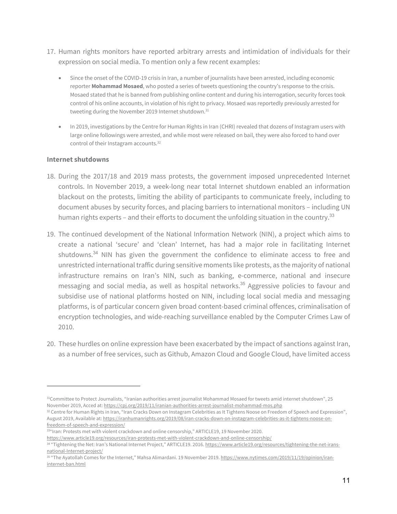- 17. Human rights monitors have reported arbitrary arrests and intimidation of individuals for their expression on social media. To mention only a few recent examples:
	- Since the onset of the COVID-19 crisis in Iran, a number of journalists have been arrested, including economic reporter **Mohammad Mosaed**, who posted a series of tweets questioning the country's response to the crisis. Mosaed stated that he is banned from publishing online content and during his interrogation, security forces took control of his online accounts, in violation of his right to privacy. Mosaed was reportedly previously arrested for tweeting during the November 2019 Internet shutdown.<sup>31</sup>
	- In 2019, investigations by the Centre for Human Rights in Iran (CHRI) revealed that dozens of Instagram users with large online followings were arrested, and while most were released on bail, they were also forced to hand over control of their Instagram accounts.32

### **Internet shutdowns**

- 18. During the 2017/18 and 2019 mass protests, the government imposed unprecedented Internet controls. In November 2019, a week-long near total Internet shutdown enabled an information blackout on the protests, limiting the ability of participants to communicate freely, including to document abuses by security forces, and placing barriers to international monitors – including UN human rights experts – and their efforts to document the unfolding situation in the country.<sup>33</sup>
- 19. The continued development of the National Information Network (NIN), a project which aims to create a national 'secure' and 'clean' Internet, has had a major role in facilitating Internet shutdowns. $34$  NIN has given the government the confidence to eliminate access to free and unrestricted international traffic during sensitive moments like protests, as the majority of national infrastructure remains on Iran's NIN, such as banking, e-commerce, national and insecure messaging and social media, as well as hospital networks.<sup>35</sup> Aggressive policies to favour and subsidise use of national platforms hosted on NIN, including local social media and messaging platforms, is of particular concern given broad content-based criminal offences, criminalisation of encryption technologies, and wide-reaching surveillance enabled by the Computer Crimes Law of 2010.
- 20. These hurdles on online expression have been exacerbated by the impact of sanctions against Iran, as a number of free services, such as Github, Amazon Cloud and Google Cloud, have limited access

<sup>31</sup>Committee to Protect Journalists, "Iranian authorities arrest journalist Mohammad Mosaed for tweets amid internet shutdown", 25 November 2019, Acced at: https://cpj.org/2019/11/iranian-authorities-arrest-journalist-mohammad-mos.php

<sup>32</sup> Centre for Human Rights in Iran, "Iran Cracks Down on Instagram Celebrities as It Tightens Noose on Freedom of Speech and Expression", August 2019, Available at: https://iranhumanrights.org/2019/08/iran-cracks-down-on-instagram-celebrities-as-it-tightens-noose-onfreedom-of-speech-and-expression/

<sup>33&</sup>quot;Iran: Protests met with violent crackdown and online censorship," ARTICLE19, 19 November 2020.

https://www.article19.org/resources/iran-protests-met-with-violent-crackdown-and-online-censorship/

<sup>34 &</sup>quot;Tightening the Net: Iran's National Internet Project," ARTICLE19. 2016. https://www.article19.org/resources/tightening-the-net-iransnational-Internet-project/

<sup>&</sup>lt;sup>35</sup> "The Ayatollah Comes for the Internet," Mahsa Alimardani. 19 November 2019. https://www.nytimes.com/2019/11/19/opinion/iraninternet-ban.html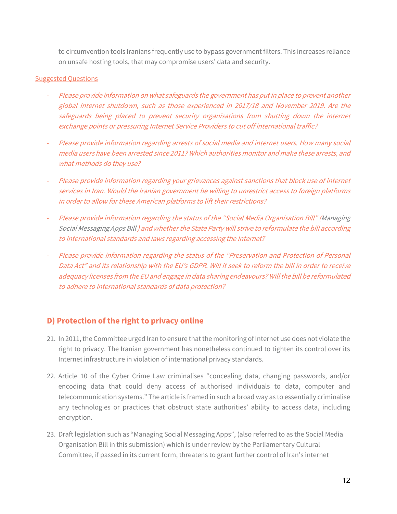to circumvention tools Iranians frequently use to bypass government filters. This increases reliance on unsafe hosting tools, that may compromise users' data and security.

### Suggested Questions

- Please provide information on what safeguards the government has put in place to prevent another global Internet shutdown, such as those experienced in 2017/18 and November 2019. Are the safeguards being placed to prevent security organisations from shutting down the internet exchange points or pressuring Internet Service Providers to cut off international traffic?
- Please provide information regarding arrests of social media and internet users. How many social media users have been arrested since 2011? Which authorities monitor and make these arrests, and what methods do they use?
- Please provide information regarding your grievances against sanctions that block use of internet services in Iran. Would the Iranian government be willing to unrestrict access to foreign platforms in order to allow for these American platforms to lift their restrictions?
- Please provide information regarding the status of the "Social Media Organisation Bill" (Managing Social Messaging Apps Bill ) and whether the State Party will strive to reformulate the bill according to international standards and laws regarding accessing the Internet?
- Please provide information regarding the status of the "Preservation and Protection of Personal Data Act" and its relationship with the EU's GDPR. Will it seek to reform the bill in order to receive adequacy licenses from the EU and engage in data sharing endeavours? Will the bill be reformulated to adhere to international standards of data protection?

## **D) Protection of the right to privacy online**

- 21. In 2011, the Committee urged Iran to ensure that the monitoring of Internet use does not violate the right to privacy. The Iranian government has nonetheless continued to tighten its control over its Internet infrastructure in violation of international privacy standards.
- 22. Article 10 of the Cyber Crime Law criminalises "concealing data, changing passwords, and/or encoding data that could deny access of authorised individuals to data, computer and telecommunication systems." The article is framed in such a broad way as to essentially criminalise any technologies or practices that obstruct state authorities' ability to access data, including encryption.
- 23. Draft legislation such as "Managing Social Messaging Apps", (also referred to as the Social Media Organisation Bill in this submission) which is under review by the Parliamentary Cultural Committee, if passed in its current form, threatens to grant further control of Iran's internet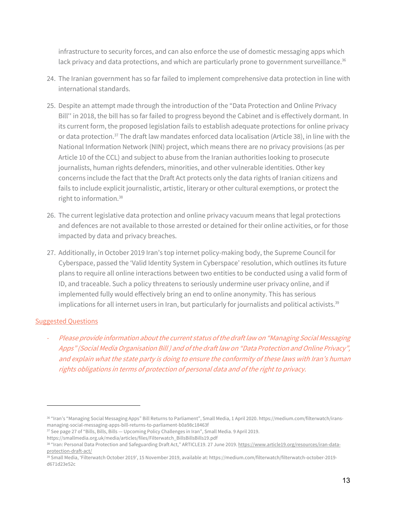infrastructure to security forces, and can also enforce the use of domestic messaging apps which lack privacy and data protections, and which are particularly prone to government surveillance.<sup>36</sup>

- 24. The Iranian government has so far failed to implement comprehensive data protection in line with international standards.
- 25. Despite an attempt made through the introduction of the "Data Protection and Online Privacy Bill'' in 2018, the bill has so far failed to progress beyond the Cabinet and is effectively dormant. In its current form, the proposed legislation fails to establish adequate protections for online privacy or data protection.<sup>37</sup> The draft law mandates enforced data localisation (Article 38), in line with the National Information Network (NIN) project, which means there are no privacy provisions (as per Article 10 of the CCL) and subject to abuse from the Iranian authorities looking to prosecute journalists, human rights defenders, minorities, and other vulnerable identities. Other key concerns include the fact that the Draft Act protects only the data rights of Iranian citizens and fails to include explicit journalistic, artistic, literary or other cultural exemptions, or protect the right to information.38
- 26. The current legislative data protection and online privacy vacuum means that legal protections and defences are not available to those arrested or detained for their online activities, or for those impacted by data and privacy breaches.
- 27. Additionally, in October 2019 Iran's top internet policy-making body, the Supreme Council for Cyberspace, passed the 'Valid Identity System in Cyberspace' resolution, which outlines its future plans to require all online interactions between two entities to be conducted using a valid form of ID, and traceable. Such a policy threatens to seriously undermine user privacy online, and if implemented fully would effectively bring an end to online anonymity. This has serious implications for all internet users in Iran, but particularly for journalists and political activists.<sup>39</sup>

### **Suggested Questions**

- Please provide information about the current status of the draft law on "Managing Social Messaging Apps" (Social Media Organisation Bill ) and of the draft law on "Data Protection and Online Privacy", and explain what the state party is doing to ensure the conformity of these laws with Iran's human rights obligations in terms of protection of personal data and of the right to privacy.

<sup>36 &</sup>quot;Iran's "Managing Social Messaging Apps" Bill Returns to Parliament", Small Media, 1 April 2020. https://medium.com/filterwatch/iransmanaging-social-messaging-apps-bill-returns-to-parliament-b0a98c18463f

<sup>37</sup> See page 27 of "Bills, Bills, Bills - Upcoming Policy Challenges in Iran", Small Media. 9 April 2019.

https://smallmedia.org.uk/media/articles/files/Filterwatch\_BillsBillsBills19.pdf

<sup>38 &</sup>quot;Iran: Personal Data Protection and Safeguarding Draft Act," ARTICLE19. 27 June 2019. https://www.article19.org/resources/iran-dataprotection-draft-act/

<sup>39</sup> Small Media, 'Filterwatch October 2019', 15 November 2019, available at: https://medium.com/filterwatch/filterwatch-october-2019 d671d23e52c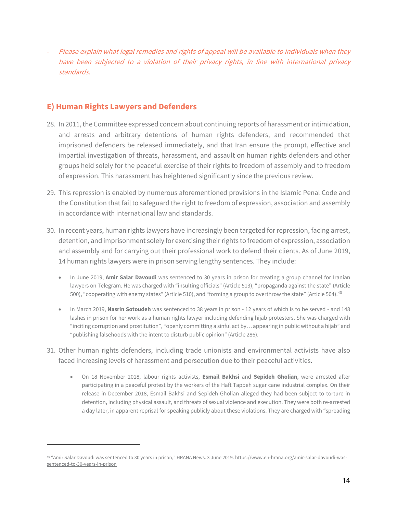Please explain what legal remedies and rights of appeal will be available to individuals when they have been subjected to a violation of their privacy rights, in line with international privacy standards.

### **E) Human Rights Lawyers and Defenders**

- 28. In 2011, the Committee expressed concern about continuing reports of harassment or intimidation, and arrests and arbitrary detentions of human rights defenders, and recommended that imprisoned defenders be released immediately, and that Iran ensure the prompt, effective and impartial investigation of threats, harassment, and assault on human rights defenders and other groups held solely for the peaceful exercise of their rights to freedom of assembly and to freedom of expression. This harassment has heightened significantly since the previous review.
- 29. This repression is enabled by numerous aforementioned provisions in the Islamic Penal Code and the Constitution that fail to safeguard the right to freedom of expression, association and assembly in accordance with international law and standards.
- 30. In recent years, human rights lawyers have increasingly been targeted for repression, facing arrest, detention, and imprisonment solely for exercising their rights to freedom of expression, association and assembly and for carrying out their professional work to defend their clients. As of June 2019, 14 human rights lawyers were in prison serving lengthy sentences. They include:
	- In June 2019, **Amir Salar Davoudi** was sentenced to 30 years in prison for creating a group channel for Iranian lawyers on Telegram. He was charged with "insulting officials" (Article 513), "propaganda against the state" (Article 500), "cooperating with enemy states" (Article 510), and "forming a group to overthrow the state" (Article 504).<sup>40</sup>
	- In March 2019, **Nasrin Sotoudeh** was sentenced to 38 years in prison 12 years of which is to be served and 148 lashes in prison for her work as a human rights lawyer including defending hijab protesters. She was charged with "inciting corruption and prostitution", "openly committing a sinful act by… appearing in public without a hijab" and "publishing falsehoods with the intent to disturb public opinion" (Article 286).
- 31. Other human rights defenders, including trade unionists and environmental activists have also faced increasing levels of harassment and persecution due to their peaceful activities.
	- On 18 November 2018, labour rights activists, **Esmail Bakhsi** and **Sepideh Gholian**, were arrested after participating in a peaceful protest by the workers of the Haft Tappeh sugar cane industrial complex. On their release in December 2018, Esmail Bakhsi and Sepideh Gholian alleged they had been subject to torture in detention, including physical assault, and threats of sexual violence and execution. They were both re-arrested a day later, in apparent reprisal for speaking publicly about these violations. They are charged with "spreading

<sup>40 &</sup>quot;Amir Salar Davoudi was sentenced to 30 years in prison," HRANA News. 3 June 2019. https://www.en-hrana.org/amir-salar-davoudi-wassentenced-to-30-years-in-prison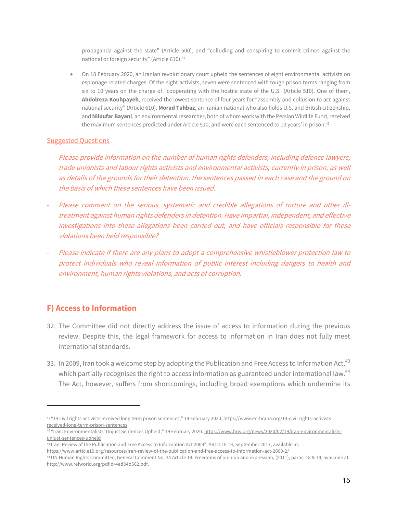propaganda against the state" (Article 500), and "colluding and conspiring to commit crimes against the national or foreign security" (Article 610).<sup>41</sup>

• On 18 February 2020, an Iranian revolutionary court upheld the sentences of eight environmental activists on espionage related charges. Of the eight activists, seven were sentenced with tough prison terms ranging from six to 10 years on the charge of "cooperating with the hostile state of the U.S" (Article 510). One of them, **Abdolreza Kouhpayeh**, received the lowest sentence of four years for "assembly and collusion to act against national security" (Article 610). **Morad Tahbaz**, an Iranian national who also holds U.S. and British citizenship, and **Niloufar Bayani**, an environmental researcher, both of whom work with the Persian Wildlife Fund, received the maximum sentences predicted under Article 510, and were each sentenced to 10 years' in prison.<sup>42</sup>

#### Suggested Questions

- Please provide information on the number of human rights defenders, including defence lawyers, trade unionists and labour rights activists and environmental activists, currently in prison, as well as details of the grounds for their detention, the sentences passed in each case and the ground on the basis of which these sentences have been issued.
- Please comment on the serious, systematic and credible allegations of torture and other illtreatment against human rights defenders in detention. Have impartial, independent, and effective investigations into these allegations been carried out, and have officials responsible for these violations been held responsible?
- Please indicate if there are any plans to adopt a comprehensive whistleblower protection law to protect individuals who reveal information of public interest including dangers to health and environment, human rights violations, and acts of corruption.

## **F) Access to Information**

- 32. The Committee did not directly address the issue of access to information during the previous review. Despite this, the legal framework for access to information in Iran does not fully meet international standards.
- 33. In 2009, Iran took a welcome step by adopting the Publication and Free Access to Information Act,<sup>43</sup> which partially recognises the right to access information as guaranteed under international law.<sup>44</sup> The Act, however, suffers from shortcomings, including broad exemptions which undermine its

<sup>&</sup>lt;sup>41 "1</sup>4 civil rights activists received long term prison sentences," 14 February 2020. https://www.en-hrana.org/14-civil-rights-activistsreceived-long-term-prison-sentences

<sup>42 &</sup>quot;Iran: Environmentalists' Unjust Sentences Upheld," 19 February 2020. https://www.hrw.org/news/2020/02/19/iran-environmentalistsunjust-sentences-upheld

<sup>43</sup> Iran: Review of the Publication and Free Access to Information Act 2009", ARTICLE 19, September 2017, available at:

https://www.article19.org/resources/iran-review-of-the-publication-and-free-access-to-information-act-2009-2/

<sup>44</sup> UN Human Rights Committee, General Comment No. 34 Article 19: Freedoms of opinion and expression, (2011), paras, 18 & 19, available at: http://www.refworld.org/pdfid/4ed34b562.pdf.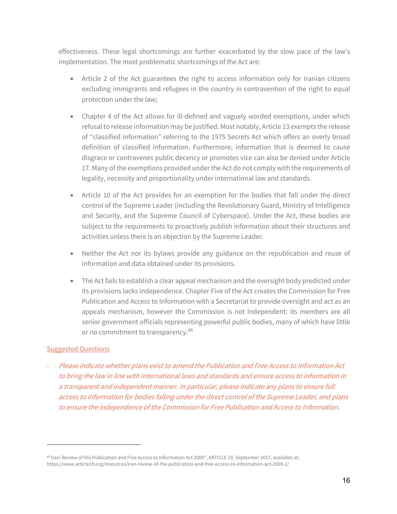effectiveness. These legal shortcomings are further exacerbated by the slow pace of the law's implementation. The most problematic shortcomings of the Act are:

- Article 2 of the Act guarantees the right to access information only for Iranian citizens excluding immigrants and refugees in the country in contravention of the right to equal protection under the law;
- Chapter 4 of the Act allows for ill-defined and vaguely worded exemptions, under which refusal to release information may be justified. Most notably, Article 13 exempts the release of "classified information" referring to the 1975 Secrets Act which offers an overly broad definition of classified information. Furthermore, information that is deemed to cause disgrace or contravenes public decency or promotes vice can also be denied under Article 17. Many of the exemptions provided under the Act do not comply with the requirements of legality, necessity and proportionality under international law and standards.
- Article 10 of the Act provides for an exemption for the bodies that fall under the direct control of the Supreme Leader (including the Revolutionary Guard, Ministry of Intelligence and Security, and the Supreme Council of Cyberspace). Under the Act, these bodies are subject to the requirements to proactively publish information about their structures and activities unless there is an objection by the Supreme Leader.
- Neither the Act nor its bylaws provide any guidance on the republication and reuse of information and data obtained under its provisions.
- The Act fails to establish a clear appeal mechanism and the oversight body predicted under its provisions lacks independence. Chapter Five of the Act creates the Commission for Free Publication and Access to Information with a Secretariat to provide oversight and act as an appeals mechanism, however the Commission is not independent: its members are all senior government officials representing powerful public bodies, many of which have little or no commitment to transparency.<sup>45</sup>

### **Suggested Questions**

- Please indicate whether plans exist to amend the Publication and Free Access to Information Act to bring the law in line with international laws and standards and ensure access to information in a transparent and independent manner. In particular, please indicate any plans to ensure full access to information for bodies falling under the direct control of the Supreme Leader, and plans to ensure the independence of the Commission for Free Publication and Access to Information.

<sup>45</sup> Iran: Review of the Publication and Free Access to Information Act 2009", ARTICLE 19, September 2017, available at: https://www.article19.org/resources/iran-review-of-the-publication-and-free-access-to-information-act-2009-2/